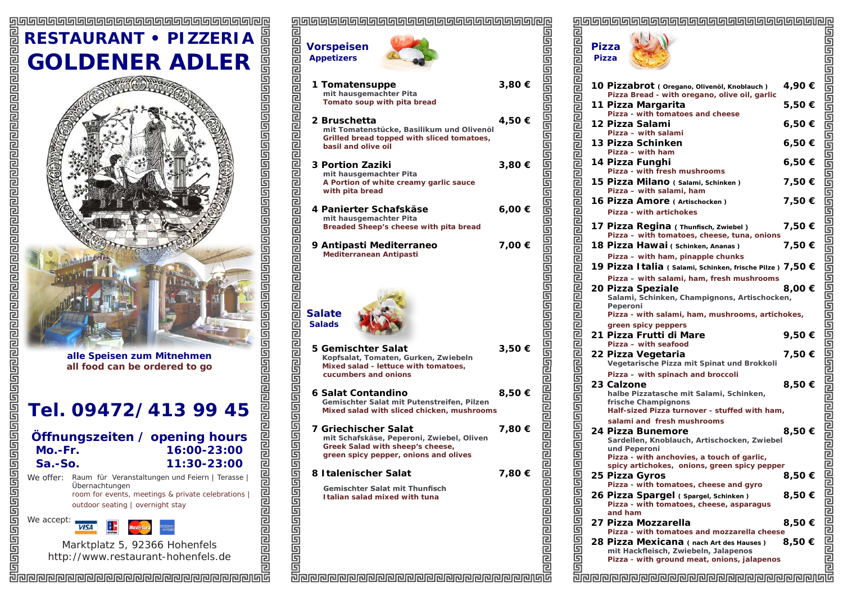## **RESTAURANT • PIZZERIA GOLDENER ADLER**





Marktplatz 5, 92366 Hohenfels http://www.restaurant-hohenfels.de

|                              | <u>glaaaaaaaaaaaaaaaaaaaaaaaaaaaaaaaaa</u> |        |                   |
|------------------------------|--------------------------------------------|--------|-------------------|
|                              |                                            |        |                   |
|                              |                                            |        |                   |
|                              | <b>Vorspeisen</b>                          |        |                   |
|                              | <b>Appetizers</b>                          |        |                   |
|                              |                                            |        |                   |
|                              |                                            |        |                   |
|                              |                                            |        |                   |
|                              | 1 Tomatensuppe                             | 3,80€  |                   |
|                              | mit hausgemachter Pita                     |        |                   |
|                              | Tomato soup with pita bread                |        |                   |
|                              |                                            |        |                   |
|                              | 2 Bruschetta                               | 4,50 € |                   |
|                              |                                            |        |                   |
|                              | mit Tomatenstücke, Basilikum und Olivenöl  |        |                   |
|                              | Grilled bread topped with sliced tomatoes, |        |                   |
|                              | basil and olive oil                        |        |                   |
|                              |                                            |        |                   |
|                              | <b>3 Portion Zaziki</b>                    | 3,80 € |                   |
|                              | mit hausgemachter Pita                     |        |                   |
|                              | A Portion of white creamy garlic sauce     |        |                   |
|                              | with pita bread                            |        |                   |
|                              |                                            |        |                   |
|                              | 4 Panierter Schafskäse                     | 6,00 € |                   |
|                              |                                            |        |                   |
|                              | mit hausgemachter Pita                     |        |                   |
|                              | Breaded Sheep's cheese with pita bread     |        |                   |
|                              |                                            |        |                   |
|                              | 9 Antipasti Mediterraneo                   | 7,00 € |                   |
|                              | Mediterranean Antipasti                    |        |                   |
|                              |                                            |        |                   |
|                              |                                            |        |                   |
|                              |                                            |        |                   |
|                              |                                            |        |                   |
|                              |                                            |        |                   |
|                              |                                            |        |                   |
|                              | <b>Salate</b>                              |        |                   |
|                              |                                            |        |                   |
|                              | <b>Salads</b>                              |        |                   |
|                              |                                            |        |                   |
|                              |                                            |        |                   |
|                              | 5 Gemischter Salat                         | 3,50 € |                   |
|                              | Kopfsalat, Tomaten, Gurken, Zwiebeln       |        |                   |
|                              | Mixed salad - lettuce with tomatoes,       |        |                   |
|                              | cucumbers and onions                       |        |                   |
|                              |                                            |        |                   |
|                              | 6 Salat Contandino                         | 8,50€  |                   |
|                              | Gemischter Salat mit Putenstreifen, Pilzen |        |                   |
|                              | Mixed salad with sliced chicken, mushrooms |        |                   |
|                              |                                            |        |                   |
|                              |                                            |        |                   |
|                              | 7 Griechischer Salat                       | 7,80 € |                   |
|                              | mit Schafskäse, Peperoni, Zwiebel, Oliven  |        |                   |
|                              | Greek Salad with sheep's cheese,           |        |                   |
|                              | green spicy pepper, onions and olives      |        |                   |
| G                            |                                            |        |                   |
|                              | 8 Italenischer Salat                       | 7,80 € |                   |
|                              |                                            |        |                   |
|                              | <b>Gemischter Salat mit Thunfisch</b>      |        |                   |
|                              | Italian salad mixed with tuna              |        |                   |
|                              |                                            |        |                   |
|                              |                                            |        |                   |
|                              |                                            |        |                   |
|                              |                                            |        |                   |
|                              |                                            |        |                   |
|                              |                                            |        |                   |
| <u>alaiaiaiaiaiaiaiaiaia</u> |                                            |        | alalalalalalalala |
|                              |                                            |        |                   |
|                              |                                            |        |                   |

|                              | <b>Control of the Control of the Control of the Control of the Control of the Control of the Control of the Control of the Control of the Control of the Control of the Pizza - with free the Control of the Pizza - with singl</b> |        |                                                                                                   |
|------------------------------|-------------------------------------------------------------------------------------------------------------------------------------------------------------------------------------------------------------------------------------|--------|---------------------------------------------------------------------------------------------------|
|                              |                                                                                                                                                                                                                                     |        |                                                                                                   |
|                              |                                                                                                                                                                                                                                     |        |                                                                                                   |
|                              |                                                                                                                                                                                                                                     |        |                                                                                                   |
|                              |                                                                                                                                                                                                                                     |        |                                                                                                   |
|                              |                                                                                                                                                                                                                                     |        |                                                                                                   |
|                              |                                                                                                                                                                                                                                     |        |                                                                                                   |
|                              |                                                                                                                                                                                                                                     |        |                                                                                                   |
|                              |                                                                                                                                                                                                                                     |        |                                                                                                   |
|                              |                                                                                                                                                                                                                                     |        |                                                                                                   |
|                              |                                                                                                                                                                                                                                     |        |                                                                                                   |
|                              |                                                                                                                                                                                                                                     |        |                                                                                                   |
|                              |                                                                                                                                                                                                                                     |        |                                                                                                   |
|                              |                                                                                                                                                                                                                                     |        |                                                                                                   |
|                              |                                                                                                                                                                                                                                     |        |                                                                                                   |
|                              |                                                                                                                                                                                                                                     |        |                                                                                                   |
|                              |                                                                                                                                                                                                                                     |        |                                                                                                   |
|                              |                                                                                                                                                                                                                                     |        | الوزور الواحر والواحر والمراوز والواحر والواحر والواحر والواحر والمواطر والمراحر والمراحر والماحر |
|                              |                                                                                                                                                                                                                                     |        |                                                                                                   |
|                              |                                                                                                                                                                                                                                     |        |                                                                                                   |
|                              |                                                                                                                                                                                                                                     |        |                                                                                                   |
|                              |                                                                                                                                                                                                                                     |        |                                                                                                   |
|                              |                                                                                                                                                                                                                                     |        |                                                                                                   |
|                              |                                                                                                                                                                                                                                     |        |                                                                                                   |
|                              |                                                                                                                                                                                                                                     |        |                                                                                                   |
|                              |                                                                                                                                                                                                                                     |        |                                                                                                   |
|                              |                                                                                                                                                                                                                                     |        |                                                                                                   |
|                              |                                                                                                                                                                                                                                     |        |                                                                                                   |
|                              |                                                                                                                                                                                                                                     |        |                                                                                                   |
|                              |                                                                                                                                                                                                                                     |        |                                                                                                   |
|                              |                                                                                                                                                                                                                                     |        |                                                                                                   |
|                              |                                                                                                                                                                                                                                     |        |                                                                                                   |
|                              |                                                                                                                                                                                                                                     |        |                                                                                                   |
|                              |                                                                                                                                                                                                                                     |        |                                                                                                   |
|                              |                                                                                                                                                                                                                                     |        |                                                                                                   |
|                              |                                                                                                                                                                                                                                     |        |                                                                                                   |
|                              |                                                                                                                                                                                                                                     |        |                                                                                                   |
|                              |                                                                                                                                                                                                                                     |        |                                                                                                   |
|                              |                                                                                                                                                                                                                                     |        |                                                                                                   |
|                              |                                                                                                                                                                                                                                     |        |                                                                                                   |
|                              |                                                                                                                                                                                                                                     |        |                                                                                                   |
|                              |                                                                                                                                                                                                                                     |        |                                                                                                   |
|                              |                                                                                                                                                                                                                                     |        |                                                                                                   |
|                              |                                                                                                                                                                                                                                     |        |                                                                                                   |
|                              |                                                                                                                                                                                                                                     |        |                                                                                                   |
|                              |                                                                                                                                                                                                                                     |        |                                                                                                   |
|                              |                                                                                                                                                                                                                                     |        |                                                                                                   |
|                              |                                                                                                                                                                                                                                     |        |                                                                                                   |
|                              |                                                                                                                                                                                                                                     |        |                                                                                                   |
| 厚                            | Pizza - with anchovies, a touch of garlic,                                                                                                                                                                                          |        |                                                                                                   |
|                              | spicy artichokes, onions, green spicy pepper                                                                                                                                                                                        |        |                                                                                                   |
|                              | 25 Pizza Gyros                                                                                                                                                                                                                      | 8,50 € |                                                                                                   |
|                              | Pizza - with tomatoes, cheese and gyro                                                                                                                                                                                              |        |                                                                                                   |
|                              | 26 Pizza Spargel (Spargel, Schinken)                                                                                                                                                                                                | 8,50€  |                                                                                                   |
|                              | Pizza - with tomatoes, cheese, asparagus                                                                                                                                                                                            |        |                                                                                                   |
|                              | and ham                                                                                                                                                                                                                             |        |                                                                                                   |
|                              | 27 Pizza Mozzarella                                                                                                                                                                                                                 | 8,50 € |                                                                                                   |
|                              | Pizza - with tomatoes and mozzarella cheese                                                                                                                                                                                         |        |                                                                                                   |
|                              |                                                                                                                                                                                                                                     |        |                                                                                                   |
|                              | 28 Pizza Mexicana (nach Art des Hauses)                                                                                                                                                                                             | 8,50€  |                                                                                                   |
|                              | mit Hackfleisch, Zwiebeln, Jalapenos<br>Pizza - with ground meat, onions, jalapenos                                                                                                                                                 |        |                                                                                                   |
| <u> alaalalalalalalalala</u> |                                                                                                                                                                                                                                     |        | <u>sioolehendeemande</u>                                                                          |
|                              |                                                                                                                                                                                                                                     |        |                                                                                                   |
|                              | <u> 리핀린틴린틴린틴린틴린틴린틴린틴린틴린틴린틴린틴린티</u>                                                                                                                                                                                                  |        |                                                                                                   |